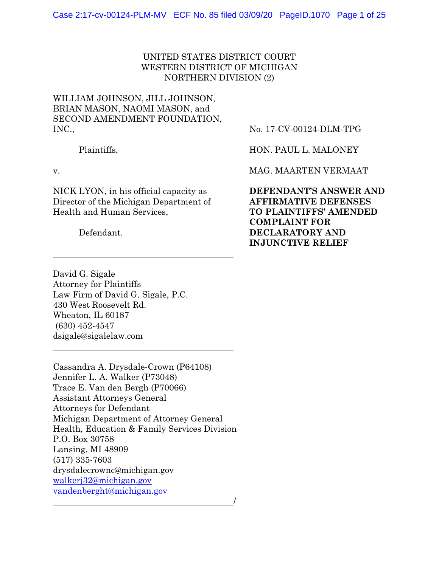## UNITED STATES DISTRICT COURT WESTERN DISTRICT OF MICHIGAN NORTHERN DIVISION (2)

# WILLIAM JOHNSON, JILL JOHNSON, BRIAN MASON, NAOMI MASON, and SECOND AMENDMENT FOUNDATION, INC.,

Plaintiffs,

v.

 $\overline{a}$ 

 $\overline{a}$ 

NICK LYON, in his official capacity as Director of the Michigan Department of Health and Human Services,

Defendant.

No. 17-CV-00124-DLM-TPG

HON. PAUL L. MALONEY

MAG. MAARTEN VERMAAT

**DEFENDANT'S ANSWER AND AFFIRMATIVE DEFENSES TO PLAINTIFFS' AMENDED COMPLAINT FOR DECLARATORY AND INJUNCTIVE RELIEF** 

David G. Sigale Attorney for Plaintiffs Law Firm of David G. Sigale, P.C. 430 West Roosevelt Rd. Wheaton, IL 60187 (630) 452-4547 dsigale@sigalelaw.com

Cassandra A. Drysdale-Crown (P64108) Jennifer L. A. Walker (P73048) Trace E. Van den Bergh (P70066) Assistant Attorneys General Attorneys for Defendant Michigan Department of Attorney General Health, Education & Family Services Division P.O. Box 30758 Lansing, MI 48909 (517) 335-7603 drysdalecrownc@michigan.gov walkerj32@michigan.gov vandenberght@michigan.gov /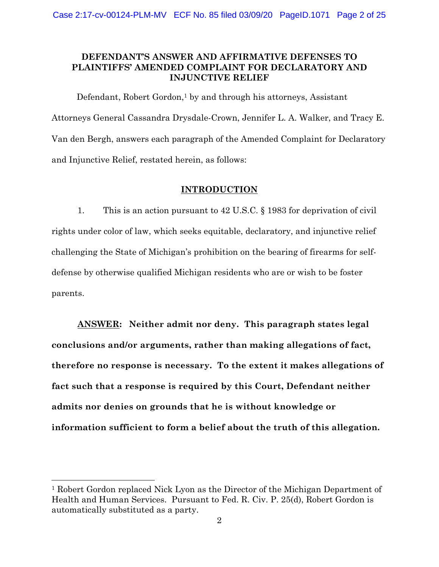### **DEFENDANT'S ANSWER AND AFFIRMATIVE DEFENSES TO PLAINTIFFS' AMENDED COMPLAINT FOR DECLARATORY AND INJUNCTIVE RELIEF**

Defendant, Robert Gordon,<sup>1</sup> by and through his attorneys, Assistant Attorneys General Cassandra Drysdale-Crown, Jennifer L. A. Walker, and Tracy E. Van den Bergh, answers each paragraph of the Amended Complaint for Declaratory and Injunctive Relief, restated herein, as follows:

### **INTRODUCTION**

1. This is an action pursuant to 42 U.S.C. § 1983 for deprivation of civil rights under color of law, which seeks equitable, declaratory, and injunctive relief challenging the State of Michigan's prohibition on the bearing of firearms for selfdefense by otherwise qualified Michigan residents who are or wish to be foster parents.

**ANSWER: Neither admit nor deny. This paragraph states legal conclusions and/or arguments, rather than making allegations of fact, therefore no response is necessary. To the extent it makes allegations of fact such that a response is required by this Court, Defendant neither admits nor denies on grounds that he is without knowledge or information sufficient to form a belief about the truth of this allegation.** 

<sup>1</sup> Robert Gordon replaced Nick Lyon as the Director of the Michigan Department of Health and Human Services. Pursuant to Fed. R. Civ. P. 25(d), Robert Gordon is automatically substituted as a party.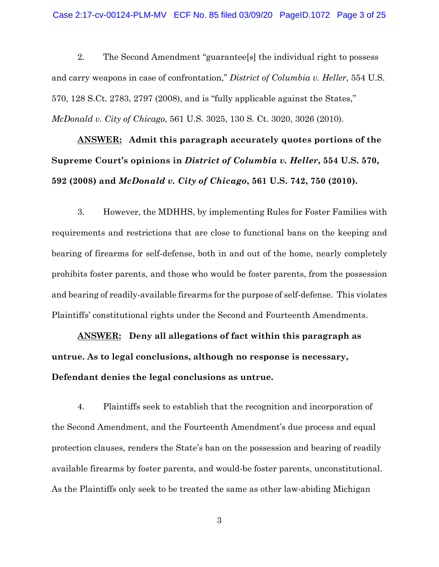2. The Second Amendment "guarantee[s] the individual right to possess and carry weapons in case of confrontation," *District of Columbia v. Heller*, 554 U.S. 570, 128 S.Ct. 2783, 2797 (2008), and is "fully applicable against the States," *McDonald v. City of Chicago*, 561 U.S. 3025, 130 S. Ct. 3020, 3026 (2010).

**ANSWER: Admit this paragraph accurately quotes portions of the Supreme Court's opinions in** *District of Columbia v. Heller***, 554 U.S. 570, 592 (2008) and** *McDonald v. City of Chicago***, 561 U.S. 742, 750 (2010).** 

3. However, the MDHHS, by implementing Rules for Foster Families with requirements and restrictions that are close to functional bans on the keeping and bearing of firearms for self-defense, both in and out of the home, nearly completely prohibits foster parents, and those who would be foster parents, from the possession and bearing of readily-available firearms for the purpose of self-defense. This violates Plaintiffs' constitutional rights under the Second and Fourteenth Amendments.

**ANSWER: Deny all allegations of fact within this paragraph as untrue. As to legal conclusions, although no response is necessary, Defendant denies the legal conclusions as untrue.** 

4. Plaintiffs seek to establish that the recognition and incorporation of the Second Amendment, and the Fourteenth Amendment's due process and equal protection clauses, renders the State's ban on the possession and bearing of readily available firearms by foster parents, and would-be foster parents, unconstitutional. As the Plaintiffs only seek to be treated the same as other law-abiding Michigan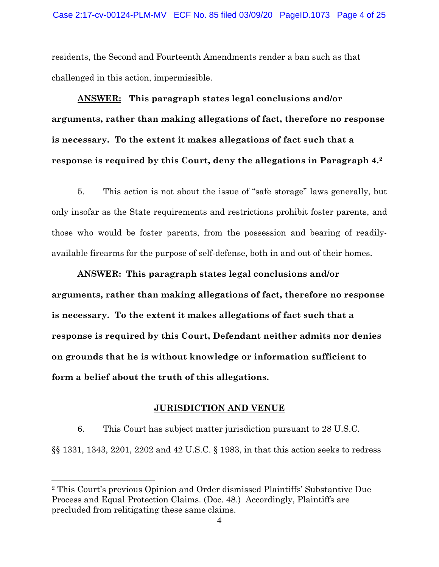residents, the Second and Fourteenth Amendments render a ban such as that challenged in this action, impermissible.

**ANSWER: This paragraph states legal conclusions and/or arguments, rather than making allegations of fact, therefore no response is necessary. To the extent it makes allegations of fact such that a response is required by this Court, deny the allegations in Paragraph 4.2**

5. This action is not about the issue of "safe storage" laws generally, but only insofar as the State requirements and restrictions prohibit foster parents, and those who would be foster parents, from the possession and bearing of readilyavailable firearms for the purpose of self-defense, both in and out of their homes.

**ANSWER: This paragraph states legal conclusions and/or arguments, rather than making allegations of fact, therefore no response is necessary. To the extent it makes allegations of fact such that a response is required by this Court, Defendant neither admits nor denies on grounds that he is without knowledge or information sufficient to form a belief about the truth of this allegations.** 

### **JURISDICTION AND VENUE**

6. This Court has subject matter jurisdiction pursuant to 28 U.S.C. §§ 1331, 1343, 2201, 2202 and 42 U.S.C. § 1983, in that this action seeks to redress

<sup>2</sup> This Court's previous Opinion and Order dismissed Plaintiffs' Substantive Due Process and Equal Protection Claims. (Doc. 48.) Accordingly, Plaintiffs are precluded from relitigating these same claims.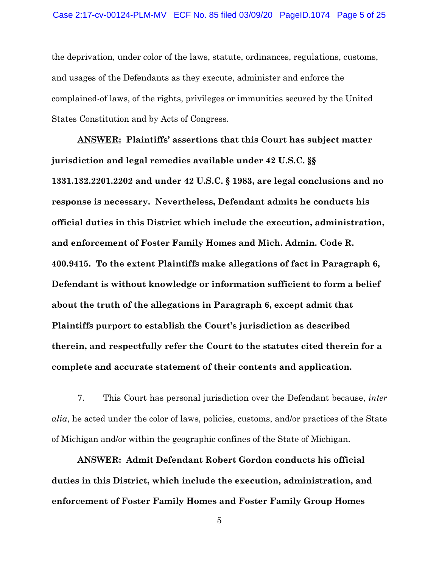the deprivation, under color of the laws, statute, ordinances, regulations, customs, and usages of the Defendants as they execute, administer and enforce the complained-of laws, of the rights, privileges or immunities secured by the United States Constitution and by Acts of Congress.

**ANSWER: Plaintiffs' assertions that this Court has subject matter jurisdiction and legal remedies available under 42 U.S.C. §§ 1331.132.2201.2202 and under 42 U.S.C. § 1983, are legal conclusions and no response is necessary. Nevertheless, Defendant admits he conducts his official duties in this District which include the execution, administration, and enforcement of Foster Family Homes and Mich. Admin. Code R. 400.9415. To the extent Plaintiffs make allegations of fact in Paragraph 6, Defendant is without knowledge or information sufficient to form a belief about the truth of the allegations in Paragraph 6, except admit that Plaintiffs purport to establish the Court's jurisdiction as described therein, and respectfully refer the Court to the statutes cited therein for a complete and accurate statement of their contents and application.** 

7. This Court has personal jurisdiction over the Defendant because, *inter alia*, he acted under the color of laws, policies, customs, and/or practices of the State of Michigan and/or within the geographic confines of the State of Michigan.

**ANSWER: Admit Defendant Robert Gordon conducts his official duties in this District, which include the execution, administration, and enforcement of Foster Family Homes and Foster Family Group Homes**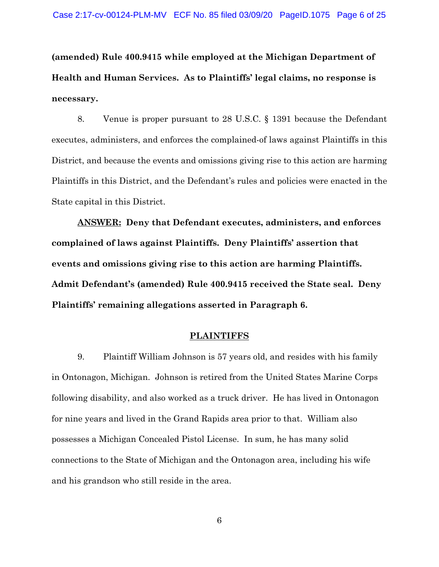**(amended) Rule 400.9415 while employed at the Michigan Department of Health and Human Services. As to Plaintiffs' legal claims, no response is necessary.** 

8. Venue is proper pursuant to 28 U.S.C. § 1391 because the Defendant executes, administers, and enforces the complained-of laws against Plaintiffs in this District, and because the events and omissions giving rise to this action are harming Plaintiffs in this District, and the Defendant's rules and policies were enacted in the State capital in this District.

**ANSWER: Deny that Defendant executes, administers, and enforces complained of laws against Plaintiffs. Deny Plaintiffs' assertion that events and omissions giving rise to this action are harming Plaintiffs. Admit Defendant's (amended) Rule 400.9415 received the State seal. Deny Plaintiffs' remaining allegations asserted in Paragraph 6.** 

#### **PLAINTIFFS**

9. Plaintiff William Johnson is 57 years old, and resides with his family in Ontonagon, Michigan. Johnson is retired from the United States Marine Corps following disability, and also worked as a truck driver. He has lived in Ontonagon for nine years and lived in the Grand Rapids area prior to that. William also possesses a Michigan Concealed Pistol License. In sum, he has many solid connections to the State of Michigan and the Ontonagon area, including his wife and his grandson who still reside in the area.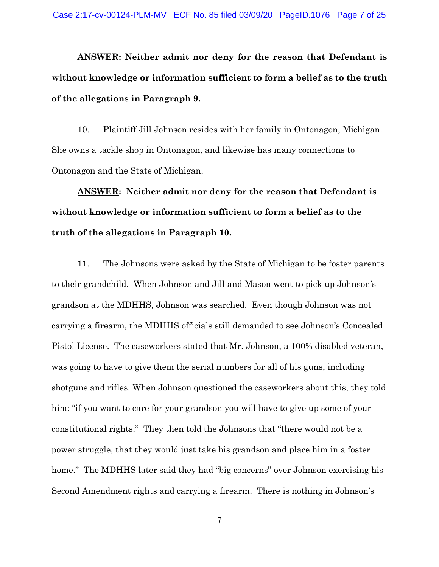**ANSWER: Neither admit nor deny for the reason that Defendant is without knowledge or information sufficient to form a belief as to the truth of the allegations in Paragraph 9.** 

10. Plaintiff Jill Johnson resides with her family in Ontonagon, Michigan. She owns a tackle shop in Ontonagon, and likewise has many connections to Ontonagon and the State of Michigan.

**ANSWER: Neither admit nor deny for the reason that Defendant is without knowledge or information sufficient to form a belief as to the truth of the allegations in Paragraph 10.** 

11. The Johnsons were asked by the State of Michigan to be foster parents to their grandchild. When Johnson and Jill and Mason went to pick up Johnson's grandson at the MDHHS, Johnson was searched. Even though Johnson was not carrying a firearm, the MDHHS officials still demanded to see Johnson's Concealed Pistol License. The caseworkers stated that Mr. Johnson, a 100% disabled veteran, was going to have to give them the serial numbers for all of his guns, including shotguns and rifles. When Johnson questioned the caseworkers about this, they told him: "if you want to care for your grandson you will have to give up some of your constitutional rights." They then told the Johnsons that "there would not be a power struggle, that they would just take his grandson and place him in a foster home." The MDHHS later said they had "big concerns" over Johnson exercising his Second Amendment rights and carrying a firearm. There is nothing in Johnson's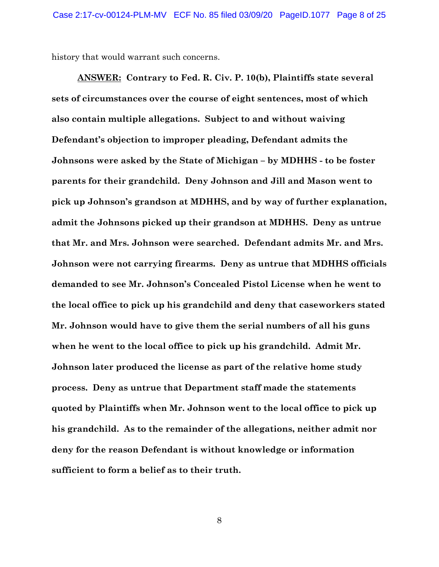history that would warrant such concerns.

**ANSWER: Contrary to Fed. R. Civ. P. 10(b), Plaintiffs state several sets of circumstances over the course of eight sentences, most of which also contain multiple allegations. Subject to and without waiving Defendant's objection to improper pleading, Defendant admits the Johnsons were asked by the State of Michigan – by MDHHS - to be foster parents for their grandchild. Deny Johnson and Jill and Mason went to pick up Johnson's grandson at MDHHS, and by way of further explanation, admit the Johnsons picked up their grandson at MDHHS. Deny as untrue that Mr. and Mrs. Johnson were searched. Defendant admits Mr. and Mrs. Johnson were not carrying firearms. Deny as untrue that MDHHS officials demanded to see Mr. Johnson's Concealed Pistol License when he went to the local office to pick up his grandchild and deny that caseworkers stated Mr. Johnson would have to give them the serial numbers of all his guns when he went to the local office to pick up his grandchild. Admit Mr. Johnson later produced the license as part of the relative home study process. Deny as untrue that Department staff made the statements quoted by Plaintiffs when Mr. Johnson went to the local office to pick up his grandchild. As to the remainder of the allegations, neither admit nor deny for the reason Defendant is without knowledge or information sufficient to form a belief as to their truth.**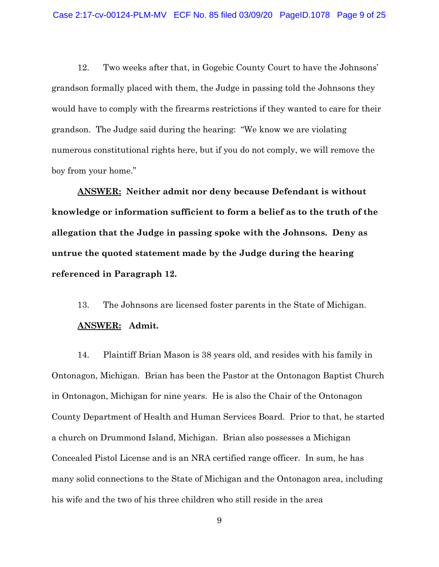12. Two weeks after that, in Gogebic County Court to have the Johnsons' grandson formally placed with them, the Judge in passing told the Johnsons they would have to comply with the firearms restrictions if they wanted to care for their grandson. The Judge said during the hearing: "We know we are violating numerous constitutional rights here, but if you do not comply, we will remove the boy from your home."

**ANSWER: Neither admit nor deny because Defendant is without knowledge or information sufficient to form a belief as to the truth of the allegation that the Judge in passing spoke with the Johnsons. Deny as untrue the quoted statement made by the Judge during the hearing referenced in Paragraph 12.** 

13. The Johnsons are licensed foster parents in the State of Michigan. **ANSWER: Admit.**

14. Plaintiff Brian Mason is 38 years old, and resides with his family in Ontonagon, Michigan. Brian has been the Pastor at the Ontonagon Baptist Church in Ontonagon, Michigan for nine years. He is also the Chair of the Ontonagon County Department of Health and Human Services Board. Prior to that, he started a church on Drummond Island, Michigan. Brian also possesses a Michigan Concealed Pistol License and is an NRA certified range officer. In sum, he has many solid connections to the State of Michigan and the Ontonagon area, including his wife and the two of his three children who still reside in the area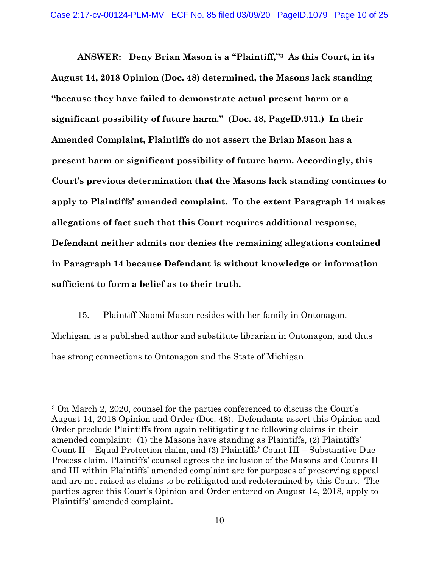**ANSWER: Deny Brian Mason is a "Plaintiff,"3 As this Court, in its August 14, 2018 Opinion (Doc. 48) determined, the Masons lack standing "because they have failed to demonstrate actual present harm or a significant possibility of future harm." (Doc. 48, PageID.911.) In their Amended Complaint, Plaintiffs do not assert the Brian Mason has a present harm or significant possibility of future harm. Accordingly, this Court's previous determination that the Masons lack standing continues to apply to Plaintiffs' amended complaint. To the extent Paragraph 14 makes allegations of fact such that this Court requires additional response, Defendant neither admits nor denies the remaining allegations contained in Paragraph 14 because Defendant is without knowledge or information sufficient to form a belief as to their truth.** 

15. Plaintiff Naomi Mason resides with her family in Ontonagon, Michigan, is a published author and substitute librarian in Ontonagon, and thus has strong connections to Ontonagon and the State of Michigan.

<sup>3</sup> On March 2, 2020, counsel for the parties conferenced to discuss the Court's August 14, 2018 Opinion and Order (Doc. 48). Defendants assert this Opinion and Order preclude Plaintiffs from again relitigating the following claims in their amended complaint: (1) the Masons have standing as Plaintiffs, (2) Plaintiffs' Count II – Equal Protection claim, and (3) Plaintiffs' Count III – Substantive Due Process claim. Plaintiffs' counsel agrees the inclusion of the Masons and Counts II and III within Plaintiffs' amended complaint are for purposes of preserving appeal and are not raised as claims to be relitigated and redetermined by this Court. The parties agree this Court's Opinion and Order entered on August 14, 2018, apply to Plaintiffs' amended complaint.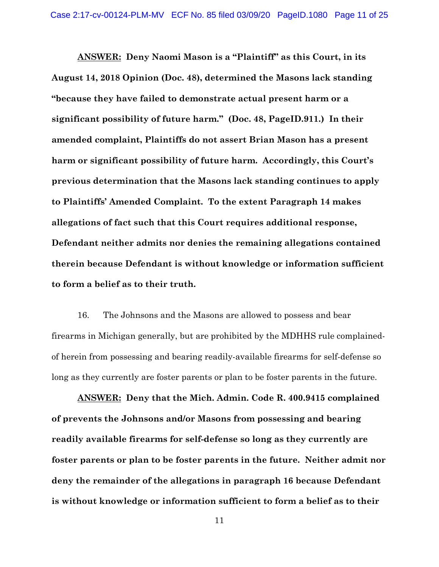**ANSWER: Deny Naomi Mason is a "Plaintiff" as this Court, in its August 14, 2018 Opinion (Doc. 48), determined the Masons lack standing "because they have failed to demonstrate actual present harm or a significant possibility of future harm." (Doc. 48, PageID.911.) In their amended complaint, Plaintiffs do not assert Brian Mason has a present harm or significant possibility of future harm. Accordingly, this Court's previous determination that the Masons lack standing continues to apply to Plaintiffs' Amended Complaint. To the extent Paragraph 14 makes allegations of fact such that this Court requires additional response, Defendant neither admits nor denies the remaining allegations contained therein because Defendant is without knowledge or information sufficient to form a belief as to their truth.** 

16. The Johnsons and the Masons are allowed to possess and bear firearms in Michigan generally, but are prohibited by the MDHHS rule complainedof herein from possessing and bearing readily-available firearms for self-defense so long as they currently are foster parents or plan to be foster parents in the future.

**ANSWER: Deny that the Mich. Admin. Code R. 400.9415 complained of prevents the Johnsons and/or Masons from possessing and bearing readily available firearms for self-defense so long as they currently are foster parents or plan to be foster parents in the future. Neither admit nor deny the remainder of the allegations in paragraph 16 because Defendant is without knowledge or information sufficient to form a belief as to their**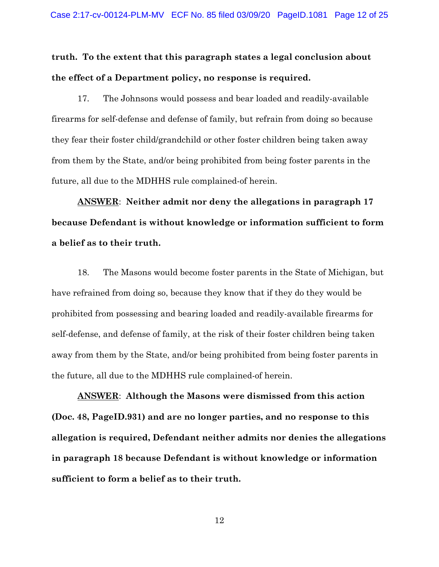**truth. To the extent that this paragraph states a legal conclusion about the effect of a Department policy, no response is required.** 

17. The Johnsons would possess and bear loaded and readily-available firearms for self-defense and defense of family, but refrain from doing so because they fear their foster child/grandchild or other foster children being taken away from them by the State, and/or being prohibited from being foster parents in the future, all due to the MDHHS rule complained-of herein.

**ANSWER**: **Neither admit nor deny the allegations in paragraph 17 because Defendant is without knowledge or information sufficient to form a belief as to their truth.** 

18. The Masons would become foster parents in the State of Michigan, but have refrained from doing so, because they know that if they do they would be prohibited from possessing and bearing loaded and readily-available firearms for self-defense, and defense of family, at the risk of their foster children being taken away from them by the State, and/or being prohibited from being foster parents in the future, all due to the MDHHS rule complained-of herein.

**ANSWER**: **Although the Masons were dismissed from this action (Doc. 48, PageID.931) and are no longer parties, and no response to this allegation is required, Defendant neither admits nor denies the allegations in paragraph 18 because Defendant is without knowledge or information sufficient to form a belief as to their truth.**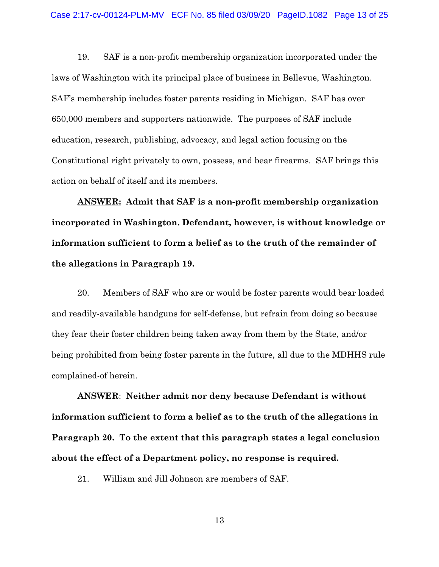19. SAF is a non-profit membership organization incorporated under the laws of Washington with its principal place of business in Bellevue, Washington. SAF's membership includes foster parents residing in Michigan. SAF has over 650,000 members and supporters nationwide. The purposes of SAF include education, research, publishing, advocacy, and legal action focusing on the Constitutional right privately to own, possess, and bear firearms. SAF brings this action on behalf of itself and its members.

**ANSWER: Admit that SAF is a non-profit membership organization incorporated in Washington. Defendant, however, is without knowledge or information sufficient to form a belief as to the truth of the remainder of the allegations in Paragraph 19.**

20. Members of SAF who are or would be foster parents would bear loaded and readily-available handguns for self-defense, but refrain from doing so because they fear their foster children being taken away from them by the State, and/or being prohibited from being foster parents in the future, all due to the MDHHS rule complained-of herein.

**ANSWER**: **Neither admit nor deny because Defendant is without information sufficient to form a belief as to the truth of the allegations in Paragraph 20. To the extent that this paragraph states a legal conclusion about the effect of a Department policy, no response is required.** 

21. William and Jill Johnson are members of SAF.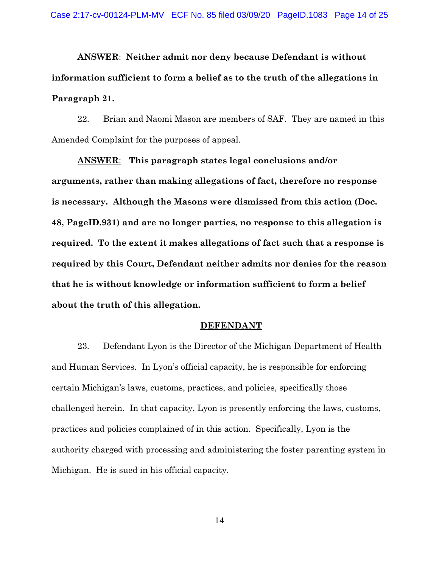**ANSWER**: **Neither admit nor deny because Defendant is without information sufficient to form a belief as to the truth of the allegations in Paragraph 21.**

22. Brian and Naomi Mason are members of SAF. They are named in this Amended Complaint for the purposes of appeal.

**ANSWER**: **This paragraph states legal conclusions and/or arguments, rather than making allegations of fact, therefore no response is necessary. Although the Masons were dismissed from this action (Doc. 48, PageID.931) and are no longer parties, no response to this allegation is required. To the extent it makes allegations of fact such that a response is required by this Court, Defendant neither admits nor denies for the reason that he is without knowledge or information sufficient to form a belief about the truth of this allegation.**

#### **DEFENDANT**

23. Defendant Lyon is the Director of the Michigan Department of Health and Human Services. In Lyon's official capacity, he is responsible for enforcing certain Michigan's laws, customs, practices, and policies, specifically those challenged herein. In that capacity, Lyon is presently enforcing the laws, customs, practices and policies complained of in this action. Specifically, Lyon is the authority charged with processing and administering the foster parenting system in Michigan. He is sued in his official capacity.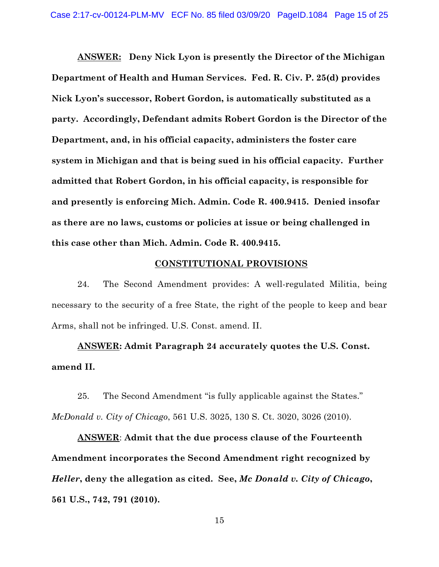**ANSWER: Deny Nick Lyon is presently the Director of the Michigan Department of Health and Human Services. Fed. R. Civ. P. 25(d) provides Nick Lyon's successor, Robert Gordon, is automatically substituted as a party. Accordingly, Defendant admits Robert Gordon is the Director of the Department, and, in his official capacity, administers the foster care system in Michigan and that is being sued in his official capacity. Further admitted that Robert Gordon, in his official capacity, is responsible for and presently is enforcing Mich. Admin. Code R. 400.9415. Denied insofar as there are no laws, customs or policies at issue or being challenged in this case other than Mich. Admin. Code R. 400.9415.** 

### **CONSTITUTIONAL PROVISIONS**

24. The Second Amendment provides: A well-regulated Militia, being necessary to the security of a free State, the right of the people to keep and bear Arms, shall not be infringed. U.S. Const. amend. II.

**ANSWER: Admit Paragraph 24 accurately quotes the U.S. Const. amend II.** 

25. The Second Amendment "is fully applicable against the States." *McDonald v. City of Chicago*, 561 U.S. 3025, 130 S. Ct. 3020, 3026 (2010).

**ANSWER**: **Admit that the due process clause of the Fourteenth Amendment incorporates the Second Amendment right recognized by**  *Heller***, deny the allegation as cited. See,** *Mc Donald v. City of Chicago***, 561 U.S., 742, 791 (2010).**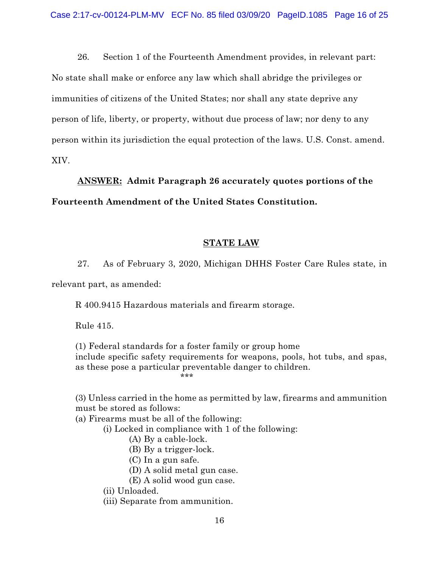26. Section 1 of the Fourteenth Amendment provides, in relevant part: No state shall make or enforce any law which shall abridge the privileges or immunities of citizens of the United States; nor shall any state deprive any person of life, liberty, or property, without due process of law; nor deny to any person within its jurisdiction the equal protection of the laws. U.S. Const. amend. XIV.

**ANSWER: Admit Paragraph 26 accurately quotes portions of the Fourteenth Amendment of the United States Constitution.**

### **STATE LAW**

27. As of February 3, 2020, Michigan DHHS Foster Care Rules state, in relevant part, as amended:

R 400.9415 Hazardous materials and firearm storage.

Rule 415.

(1) Federal standards for a foster family or group home include specific safety requirements for weapons, pools, hot tubs, and spas, as these pose a particular preventable danger to children. \*\*\*

(3) Unless carried in the home as permitted by law, firearms and ammunition must be stored as follows:

(a) Firearms must be all of the following:

(i) Locked in compliance with 1 of the following:

- (A) By a cable-lock.
- (B) By a trigger-lock.
- (C) In a gun safe.
- (D) A solid metal gun case.
- (E) A solid wood gun case.
- (ii) Unloaded.
- (iii) Separate from ammunition.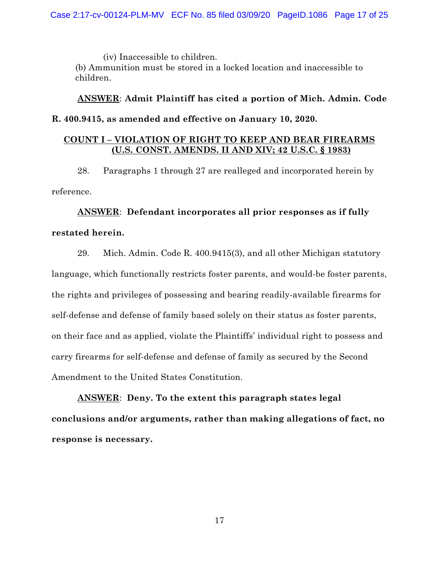(iv) Inaccessible to children. (b) Ammunition must be stored in a locked location and inaccessible to children.

**ANSWER**: **Admit Plaintiff has cited a portion of Mich. Admin. Code R. 400.9415, as amended and effective on January 10, 2020.** 

### **COUNT I – VIOLATION OF RIGHT TO KEEP AND BEAR FIREARMS (U.S. CONST. AMENDS. II AND XIV; 42 U.S.C. § 1983)**

28. Paragraphs 1 through 27 are realleged and incorporated herein by reference.

**ANSWER**: **Defendant incorporates all prior responses as if fully restated herein.** 

29. Mich. Admin. Code R. 400.9415(3), and all other Michigan statutory language, which functionally restricts foster parents, and would-be foster parents, the rights and privileges of possessing and bearing readily-available firearms for self-defense and defense of family based solely on their status as foster parents, on their face and as applied, violate the Plaintiffs' individual right to possess and carry firearms for self-defense and defense of family as secured by the Second Amendment to the United States Constitution.

**ANSWER**: **Deny. To the extent this paragraph states legal conclusions and/or arguments, rather than making allegations of fact, no response is necessary.**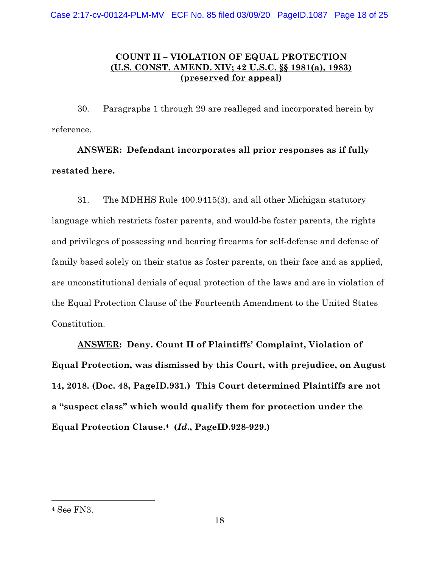# **COUNT II – VIOLATION OF EQUAL PROTECTION (U.S. CONST. AMEND. XIV; 42 U.S.C. §§ 1981(a), 1983) (preserved for appeal)**

30. Paragraphs 1 through 29 are realleged and incorporated herein by reference.

**ANSWER: Defendant incorporates all prior responses as if fully restated here.** 

31. The MDHHS Rule 400.9415(3), and all other Michigan statutory language which restricts foster parents, and would-be foster parents, the rights and privileges of possessing and bearing firearms for self-defense and defense of family based solely on their status as foster parents, on their face and as applied, are unconstitutional denials of equal protection of the laws and are in violation of the Equal Protection Clause of the Fourteenth Amendment to the United States Constitution.

**ANSWER: Deny. Count II of Plaintiffs' Complaint, Violation of Equal Protection, was dismissed by this Court, with prejudice, on August 14, 2018. (Doc. 48, PageID.931.) This Court determined Plaintiffs are not a "suspect class" which would qualify them for protection under the Equal Protection Clause.4 (***Id***., PageID.928-929.)** 

<sup>4</sup> See FN3.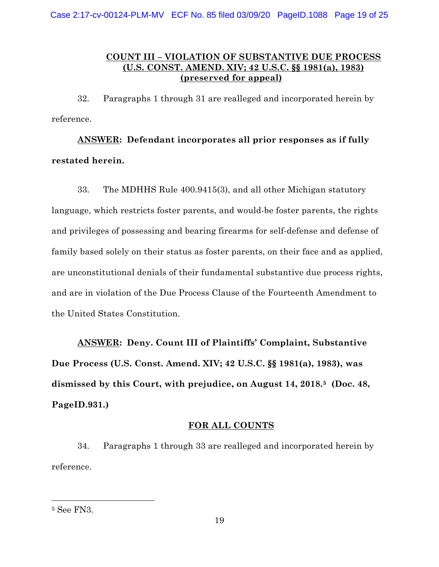## **COUNT III – VIOLATION OF SUBSTANTIVE DUE PROCESS (U.S. CONST. AMEND. XIV; 42 U.S.C. §§ 1981(a), 1983) (preserved for appeal)**

32. Paragraphs 1 through 31 are realleged and incorporated herein by reference.

**ANSWER: Defendant incorporates all prior responses as if fully restated herein.** 

33. The MDHHS Rule 400.9415(3), and all other Michigan statutory language, which restricts foster parents, and would-be foster parents, the rights and privileges of possessing and bearing firearms for self-defense and defense of family based solely on their status as foster parents, on their face and as applied, are unconstitutional denials of their fundamental substantive due process rights, and are in violation of the Due Process Clause of the Fourteenth Amendment to the United States Constitution.

**ANSWER: Deny. Count III of Plaintiffs' Complaint, Substantive Due Process (U.S. Const. Amend. XIV; 42 U.S.C. §§ 1981(a), 1983), was dismissed by this Court, with prejudice, on August 14, 2018.5 (Doc. 48, PageID.931.)** 

### **FOR ALL COUNTS**

34. Paragraphs 1 through 33 are realleged and incorporated herein by reference.

<sup>5</sup> See FN3.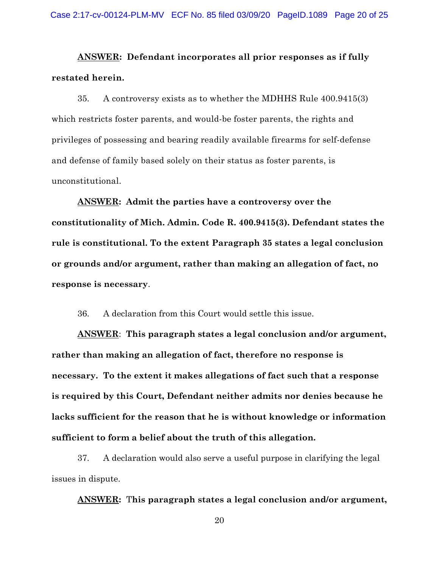**ANSWER: Defendant incorporates all prior responses as if fully restated herein.** 

35. A controversy exists as to whether the MDHHS Rule 400.9415(3) which restricts foster parents, and would-be foster parents, the rights and privileges of possessing and bearing readily available firearms for self-defense and defense of family based solely on their status as foster parents, is unconstitutional.

**ANSWER: Admit the parties have a controversy over the constitutionality of Mich. Admin. Code R. 400.9415(3). Defendant states the rule is constitutional. To the extent Paragraph 35 states a legal conclusion or grounds and/or argument, rather than making an allegation of fact, no response is necessary**.

36. A declaration from this Court would settle this issue.

**ANSWER**: **This paragraph states a legal conclusion and/or argument, rather than making an allegation of fact, therefore no response is necessary. To the extent it makes allegations of fact such that a response is required by this Court, Defendant neither admits nor denies because he lacks sufficient for the reason that he is without knowledge or information sufficient to form a belief about the truth of this allegation.** 

37. A declaration would also serve a useful purpose in clarifying the legal issues in dispute.

**ANSWER:** T**his paragraph states a legal conclusion and/or argument,**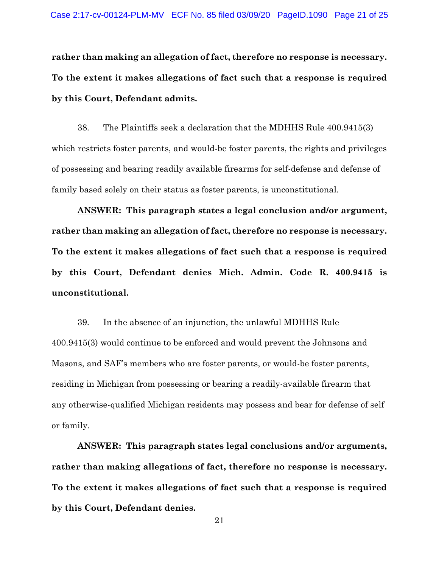**rather than making an allegation of fact, therefore no response is necessary. To the extent it makes allegations of fact such that a response is required by this Court, Defendant admits.** 

38. The Plaintiffs seek a declaration that the MDHHS Rule 400.9415(3) which restricts foster parents, and would-be foster parents, the rights and privileges of possessing and bearing readily available firearms for self-defense and defense of family based solely on their status as foster parents, is unconstitutional.

**ANSWER: This paragraph states a legal conclusion and/or argument, rather than making an allegation of fact, therefore no response is necessary. To the extent it makes allegations of fact such that a response is required by this Court, Defendant denies Mich. Admin. Code R. 400.9415 is unconstitutional.** 

39. In the absence of an injunction, the unlawful MDHHS Rule 400.9415(3) would continue to be enforced and would prevent the Johnsons and Masons, and SAF's members who are foster parents, or would-be foster parents, residing in Michigan from possessing or bearing a readily-available firearm that any otherwise-qualified Michigan residents may possess and bear for defense of self or family.

**ANSWER: This paragraph states legal conclusions and/or arguments, rather than making allegations of fact, therefore no response is necessary. To the extent it makes allegations of fact such that a response is required by this Court, Defendant denies.**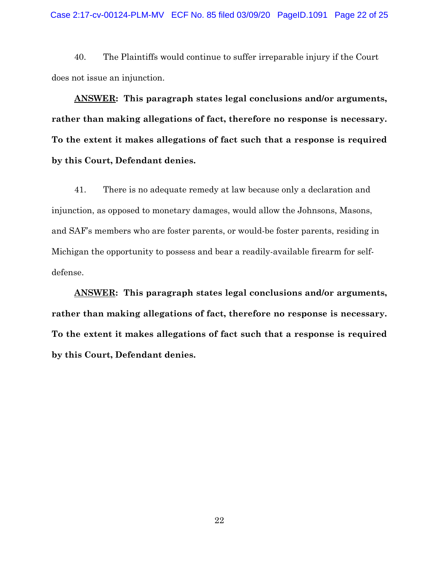40. The Plaintiffs would continue to suffer irreparable injury if the Court does not issue an injunction.

**ANSWER: This paragraph states legal conclusions and/or arguments, rather than making allegations of fact, therefore no response is necessary. To the extent it makes allegations of fact such that a response is required by this Court, Defendant denies.** 

41. There is no adequate remedy at law because only a declaration and injunction, as opposed to monetary damages, would allow the Johnsons, Masons, and SAF's members who are foster parents, or would-be foster parents, residing in Michigan the opportunity to possess and bear a readily-available firearm for selfdefense.

**ANSWER: This paragraph states legal conclusions and/or arguments, rather than making allegations of fact, therefore no response is necessary. To the extent it makes allegations of fact such that a response is required by this Court, Defendant denies.**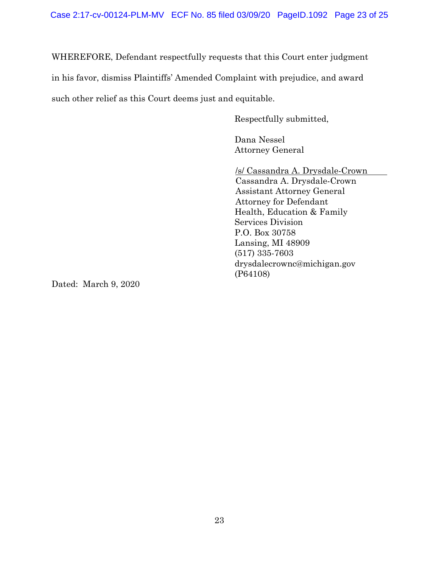WHEREFORE, Defendant respectfully requests that this Court enter judgment

in his favor, dismiss Plaintiffs' Amended Complaint with prejudice, and award

such other relief as this Court deems just and equitable.

Respectfully submitted,

 Dana Nessel Attorney General

/s/ Cassandra A. Drysdale-Crown Cassandra A. Drysdale-Crown Assistant Attorney General Attorney for Defendant Health, Education & Family Services Division P.O. Box 30758 Lansing, MI 48909 (517) 335-7603 drysdalecrownc@michigan.gov (P64108)

Dated: March 9, 2020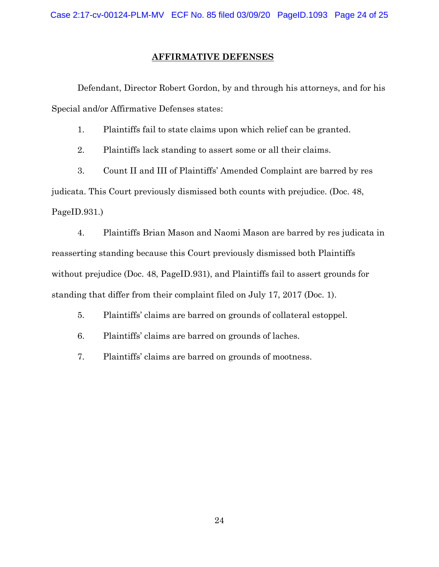### **AFFIRMATIVE DEFENSES**

Defendant, Director Robert Gordon, by and through his attorneys, and for his Special and/or Affirmative Defenses states:

1. Plaintiffs fail to state claims upon which relief can be granted.

2. Plaintiffs lack standing to assert some or all their claims.

3. Count II and III of Plaintiffs' Amended Complaint are barred by res judicata. This Court previously dismissed both counts with prejudice. (Doc. 48, PageID.931.)

4. Plaintiffs Brian Mason and Naomi Mason are barred by res judicata in reasserting standing because this Court previously dismissed both Plaintiffs without prejudice (Doc. 48, PageID.931), and Plaintiffs fail to assert grounds for standing that differ from their complaint filed on July 17, 2017 (Doc. 1).

5. Plaintiffs' claims are barred on grounds of collateral estoppel.

6. Plaintiffs' claims are barred on grounds of laches.

7. Plaintiffs' claims are barred on grounds of mootness.